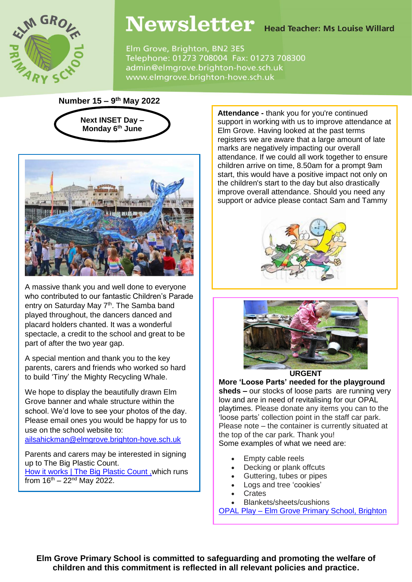

# Newsletter Head Teacher: Ms Louise Willard

Elm Grove, Brighton, BN2 3ES Telephone: 01273 708004 Fax: 01273 708300 admin@elmgrove.brighton-hove.sch.uk www.elmgrove.brighton-hove.sch.uk

**Number 15 – 9 th May 2022**





A massive thank you and well done to everyone who contributed to our fantastic Children's Parade entry on Saturday May 7<sup>th</sup>. The Samba band played throughout, the dancers danced and placard holders chanted. It was a wonderful spectacle, a credit to the school and great to be part of after the two year gap.

A special mention and thank you to the key parents, carers and friends who worked so hard to build 'Tiny' the Mighty Recycling Whale.

We hope to display the beautifully drawn Elm Grove banner and whale structure within the school. We'd love to see your photos of the day. Please email ones you would be happy for us to use on the school website to:

[ailsahickman@elmgrove.brighton-hove.sch.uk](mailto:ailsahickman@elmgrove.brighton-hove.sch.uk)

Parents and carers may be interested in signing up to The Big Plastic Count. [How it works | The Big Plastic Count](https://thebigplasticcount.com/how-it-works#video), which runs from  $16^{th} - 22^{nd}$  May 2022.

**Attendance -** thank you for you're continued support in working with us to improve attendance at Elm Grove. Having looked at the past terms registers we are aware that a large amount of late marks are negatively impacting our overall attendance. If we could all work together to ensure children arrive on time, 8.50am for a prompt 9am start, this would have a positive impact not only on the children's start to the day but also drastically improve overall attendance. Should you need any support or advice please contact Sam and Tammy





**URGENT**

**More 'Loose Parts' needed for the playground sheds –** our stocks of loose parts are running very low and are in need of revitalising for our OPAL playtimes. Please donate any items you can to the 'loose parts' collection point in the staff car park. Please note – the container is currently situated at the top of the car park. Thank you! Some examples of what we need are:

- Empty cable reels
- Decking or plank offcuts
- Guttering, tubes or pipes
- Logs and tree 'cookies'
- **Crates**
- Blankets/sheets/cushions

OPAL Play – [Elm Grove Primary School, Brighton](https://www.elmgrove.brighton-hove.sch.uk/opal-play/)

**Elm Grove Primary School is committed to safeguarding and promoting the welfare of children and this commitment is reflected in all relevant policies and practice.**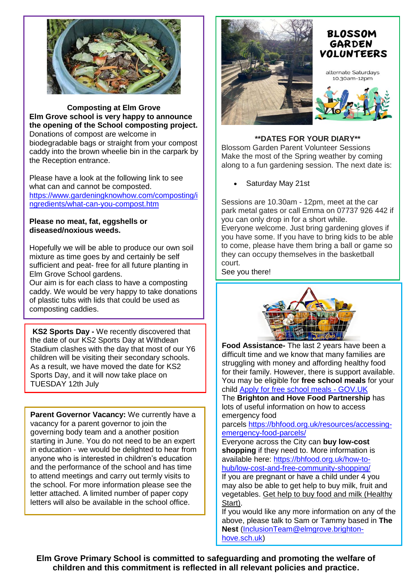

**Composting at Elm Grove Elm Grove school is very happy to announce the opening of the School composting project.** Donations of compost are welcome in biodegradable bags or straight from your compost caddy into the brown wheelie bin in the carpark by the Reception entrance.

Please have a look at the following link to see what can and cannot be composted. [https://www.gardeningknowhow.com/composting/i](https://www.gardeningknowhow.com/composting/ingredients/what-can-you-compost.htm) [ngredients/what-can-you-compost.htm](https://www.gardeningknowhow.com/composting/ingredients/what-can-you-compost.htm)

### **Please no meat, fat, eggshells or diseased/noxious weeds.**

Hopefully we will be able to produce our own soil mixture as time goes by and certainly be self sufficient and peat- free for all future planting in Elm Grove School gardens.

Our aim is for each class to have a composting caddy. We would be very happy to take donations of plastic tubs with lids that could be used as composting caddies.

**KS2 Sports Day -** We recently discovered that the date of our KS2 Sports Day at Withdean Stadium clashes with the day that most of our Y6 children will be visiting their secondary schools. As a result, we have moved the date for KS2 Sports Day, and it will now take place on TUESDAY 12th July

**Parent Governor Vacancy:** We currently have a vacancy for a parent governor to join the governing body team and a another position starting in June. You do not need to be an expert in education - we would be delighted to hear from anyone who is interested in children's education and the performance of the school and has time to attend meetings and carry out termly visits to the school. For more information please see the letter attached. A limited number of paper copy letters will also be available in the school office.



# **\*\*DATES FOR YOUR DIARY\*\***

Blossom Garden Parent Volunteer Sessions Make the most of the Spring weather by coming along to a fun gardening session. The next date is:

Saturday May 21st

Sessions are 10.30am - 12pm, meet at the car park metal gates or call Emma on 07737 926 442 if you can only drop in for a short while. Everyone welcome. Just bring gardening gloves if you have some. If you have to bring kids to be able to come, please have them bring a ball or game so they can occupy themselves in the basketball court.

See you there!



**Food Assistance-** The last 2 years have been a difficult time and we know that many families are struggling with money and affording healthy food for their family. However, there is support available. You may be eligible for **free school meals** for your child Apply for free school meals - [GOV.UK](https://www.brighton-hove.gov.uk/schools-and-learning/free-school-meals)

The **Brighton and Hove Food Partnership** has lots of useful information on how to access emergency food

parcels [https://bhfood.org.uk/resources/accessing](https://bhfood.org.uk/resources/accessing-emergency-food-parcels/)[emergency-food-parcels/](https://bhfood.org.uk/resources/accessing-emergency-food-parcels/)

Everyone across the City can **buy low-cost shopping** if they need to. More information is available here: [https://bhfood.org.uk/how-to](https://bhfood.org.uk/how-to-hub/low-cost-and-free-community-shopping/)[hub/low-cost-and-free-community-shopping/](https://bhfood.org.uk/how-to-hub/low-cost-and-free-community-shopping/)

If you are pregnant or have a child under 4 you may also be able to get help to buy milk, fruit and vegetables. Get help to buy food and milk [\(Healthy](https://www.healthystart.nhs.uk/) [Start\).](https://www.healthystart.nhs.uk/)

If you would like any more information on any of the above, please talk to Sam or Tammy based in **The Nest** [\(InclusionTeam@elmgrove.brighton](mailto:InclusionTeam@elmgrove.brighton-hove.sch.uk)[hove.sch.uk\)](mailto:InclusionTeam@elmgrove.brighton-hove.sch.uk)

**Elm Grove Primary School is committed to safeguarding and promoting the welfare of children and this commitment is reflected in all relevant policies and practice.**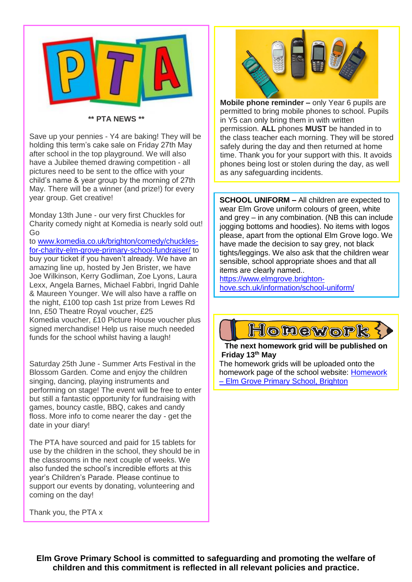

#### **\*\* PTA NEWS \*\***

Save up your pennies - Y4 are baking! They will be holding this term's cake sale on Friday 27th May after school in the top playground. We will also have a Jubilee themed drawing competition - all pictures need to be sent to the office with your child's name & year group by the morning of 27th May. There will be a winner (and prize!) for every year group. Get creative!

Monday 13th June - our very first Chuckles for Charity comedy night at Komedia is nearly sold out! Go

to [www.komedia.co.uk/brighton/comedy/chuckles](http://www.komedia.co.uk/brighton/comedy/chuckles-for-charity-elm-grove-primary-school-fundraiser/)[for-charity-elm-grove-primary-school-fundraiser/](http://www.komedia.co.uk/brighton/comedy/chuckles-for-charity-elm-grove-primary-school-fundraiser/) to buy your ticket if you haven't already. We have an amazing line up, hosted by Jen Brister, we have Joe Wilkinson, Kerry Godliman, Zoe Lyons, Laura Lexx, Angela Barnes, Michael Fabbri, Ingrid Dahle & Maureen Younger. We will also have a raffle on the night, £100 top cash 1st prize from Lewes Rd Inn, £50 Theatre Royal voucher, £25 Komedia voucher, £10 Picture House voucher plus signed merchandise! Help us raise much needed funds for the school whilst having a laugh!

Saturday 25th June - Summer Arts Festival in the Blossom Garden. Come and enjoy the children singing, dancing, playing instruments and performing on stage! The event will be free to enter but still a fantastic opportunity for fundraising with games, bouncy castle, BBQ, cakes and candy floss. More info to come nearer the day - get the date in your diary!

The PTA have sourced and paid for 15 tablets for use by the children in the school, they should be in the classrooms in the next couple of weeks. We also funded the school's incredible efforts at this year's Children's Parade. Please continue to support our events by donating, volunteering and coming on the day!



**Mobile phone reminder –** only Year 6 pupils are permitted to bring mobile phones to school. Pupils in Y5 can only bring them in with written permission. **ALL** phones **MUST** be handed in to the class teacher each morning. They will be stored safely during the day and then returned at home time. Thank you for your support with this. It avoids phones being lost or stolen during the day, as well as any safeguarding incidents.

**SCHOOL UNIFORM –** All children are expected to wear Elm Grove uniform colours of green, white and grey – in any combination. (NB this can include jogging bottoms and hoodies). No items with logos please, apart from the optional Elm Grove logo. We have made the decision to say grey, not black tights/leggings. We also ask that the children wear sensible, school appropriate shoes and that all items are clearly named..

[https://www.elmgrove.brighton](https://www.elmgrove.brighton-hove.sch.uk/information/school-uniform/)[hove.sch.uk/information/school-uniform/](https://www.elmgrove.brighton-hove.sch.uk/information/school-uniform/)



## **The next homework grid will be published on Friday 13th May**

The homework grids will be uploaded onto the homework page of the school website: [Homework](https://www.elmgrove.brighton-hove.sch.uk/year-groups/homework/)  – [Elm Grove Primary School, Brighton](https://www.elmgrove.brighton-hove.sch.uk/year-groups/homework/)

Thank you, the PTA x

**Elm Grove Primary School is committed to safeguarding and promoting the welfare of children and this commitment is reflected in all relevant policies and practice.**